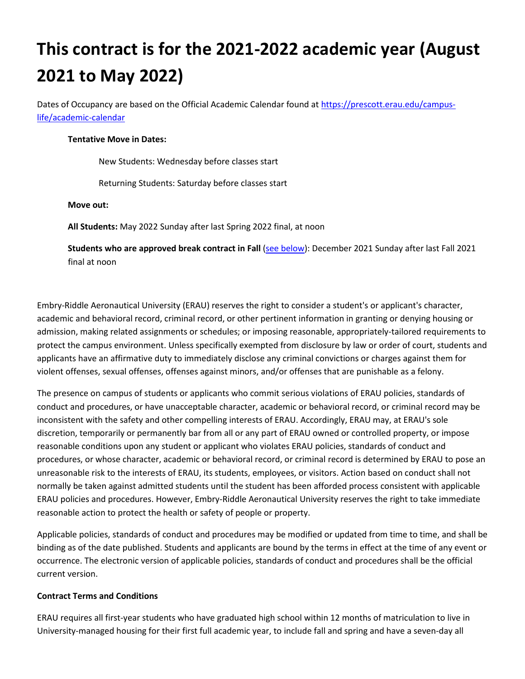# **This contract is for the 2021-2022 academic year (August 2021 to May 2022)**

Dates of Occupancy are based on the Official Academic Calendar found a[t https://prescott.erau.edu/campus](https://prescott.erau.edu/campus-life/academic-calendar)[life/academic-calendar](https://prescott.erau.edu/campus-life/academic-calendar)

#### **Tentative Move in Dates:**

New Students: Wednesday before classes start

Returning Students: Saturday before classes start

#### **Move out:**

**All Students:** May 2022 Sunday after last Spring 2022 final, at noon

**Students who are approved break contract in Fall** [\(see below\)](#page-2-0): December 2021 Sunday after last Fall 2021 final at noon

Embry-Riddle Aeronautical University (ERAU) reserves the right to consider a student's or applicant's character, academic and behavioral record, criminal record, or other pertinent information in granting or denying housing or admission, making related assignments or schedules; or imposing reasonable, appropriately-tailored requirements to protect the campus environment. Unless specifically exempted from disclosure by law or order of court, students and applicants have an affirmative duty to immediately disclose any criminal convictions or charges against them for violent offenses, sexual offenses, offenses against minors, and/or offenses that are punishable as a felony.

The presence on campus of students or applicants who commit serious violations of ERAU policies, standards of conduct and procedures, or have unacceptable character, academic or behavioral record, or criminal record may be inconsistent with the safety and other compelling interests of ERAU. Accordingly, ERAU may, at ERAU's sole discretion, temporarily or permanently bar from all or any part of ERAU owned or controlled property, or impose reasonable conditions upon any student or applicant who violates ERAU policies, standards of conduct and procedures, or whose character, academic or behavioral record, or criminal record is determined by ERAU to pose an unreasonable risk to the interests of ERAU, its students, employees, or visitors. Action based on conduct shall not normally be taken against admitted students until the student has been afforded process consistent with applicable ERAU policies and procedures. However, Embry-Riddle Aeronautical University reserves the right to take immediate reasonable action to protect the health or safety of people or property.

Applicable policies, standards of conduct and procedures may be modified or updated from time to time, and shall be binding as of the date published. Students and applicants are bound by the terms in effect at the time of any event or occurrence. The electronic version of applicable policies, standards of conduct and procedures shall be the official current version.

#### **Contract Terms and Conditions**

ERAU requires all first-year students who have graduated high school within 12 months of matriculation to live in University-managed housing for their first full academic year, to include fall and spring and have a seven-day all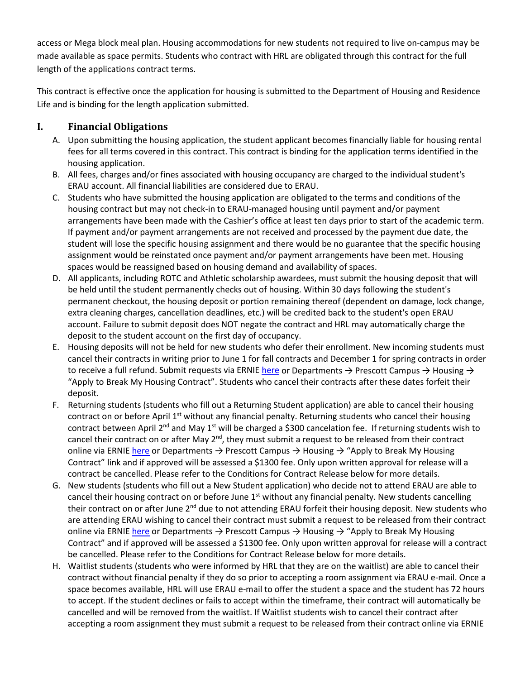access or Mega block meal plan. Housing accommodations for new students not required to live on-campus may be made available as space permits. Students who contract with HRL are obligated through this contract for the full length of the applications contract terms.

This contract is effective once the application for housing is submitted to the Department of Housing and Residence Life and is binding for the length application submitted.

### **I. Financial Obligations**

- A. Upon submitting the housing application, the student applicant becomes financially liable for housing rental fees for all terms covered in this contract. This contract is binding for the application terms identified in the housing application.
- B. All fees, charges and/or fines associated with housing occupancy are charged to the individual student's ERAU account. All financial liabilities are considered due to ERAU.
- C. Students who have submitted the housing application are obligated to the terms and conditions of the housing contract but may not check-in to ERAU-managed housing until payment and/or payment arrangements have been made with the Cashier's office at least ten days prior to start of the academic term. If payment and/or payment arrangements are not received and processed by the payment due date, the student will lose the specific housing assignment and there would be no guarantee that the specific housing assignment would be reinstated once payment and/or payment arrangements have been met. Housing spaces would be reassigned based on housing demand and availability of spaces.
- D. All applicants, including ROTC and Athletic scholarship awardees, must submit the housing deposit that will be held until the student permanently checks out of housing. Within 30 days following the student's permanent checkout, the housing deposit or portion remaining thereof (dependent on damage, lock change, extra cleaning charges, cancellation deadlines, etc.) will be credited back to the student's open ERAU account. Failure to submit deposit does NOT negate the contract and HRL may automatically charge the deposit to the student account on the first day of occupancy.
- E. Housing deposits will not be held for new students who defer their enrollment. New incoming students must cancel their contracts in writing prior to June 1 for fall contracts and December 1 for spring contracts in order to receive a full refund. Submit requests via ERNIE [here](https://webforms.erau.edu/private/housing/contract-release/prescott/index.cfm) or Departments  $\rightarrow$  Prescott Campus  $\rightarrow$  Housing  $\rightarrow$ "Apply to Break My Housing Contract". Students who cancel their contracts after these dates forfeit their deposit.
- F. Returning students (students who fill out a Returning Student application) are able to cancel their housing contract on or before April  $1<sup>st</sup>$  without any financial penalty. Returning students who cancel their housing contract between April 2<sup>nd</sup> and May 1<sup>st</sup> will be charged a \$300 cancelation fee. If returning students wish to cancel their contract on or after May  $2^{nd}$ , they must submit a request to be released from their contract online via ERNIE [here](https://webforms.erau.edu/private/housing/contract-release/prescott/index.cfm) or Departments  $\rightarrow$  Prescott Campus  $\rightarrow$  Housing  $\rightarrow$  "Apply to Break My Housing Contract" link and if approved will be assessed a \$1300 fee. Only upon written approval for release will a contract be cancelled. Please refer to the Conditions for Contract Release below for more details.
- G. New students (students who fill out a New Student application) who decide not to attend ERAU are able to cancel their housing contract on or before June  $1<sup>st</sup>$  without any financial penalty. New students cancelling their contract on or after June 2<sup>nd</sup> due to not attending ERAU forfeit their housing deposit. New students who are attending ERAU wishing to cancel their contract must submit a request to be released from their contract online via ERNIE [here](https://webforms.erau.edu/private/housing/contract-release/prescott/index.cfm) or Departments  $\rightarrow$  Prescott Campus  $\rightarrow$  Housing  $\rightarrow$  "Apply to Break My Housing Contract" and if approved will be assessed a \$1300 fee. Only upon written approval for release will a contract be cancelled. Please refer to the Conditions for Contract Release below for more details.
- H. Waitlist students (students who were informed by HRL that they are on the waitlist) are able to cancel their contract without financial penalty if they do so prior to accepting a room assignment via ERAU e-mail. Once a space becomes available, HRL will use ERAU e-mail to offer the student a space and the student has 72 hours to accept. If the student declines or fails to accept within the timeframe, their contract will automatically be cancelled and will be removed from the waitlist. If Waitlist students wish to cancel their contract after accepting a room assignment they must submit a request to be released from their contract online via ERNIE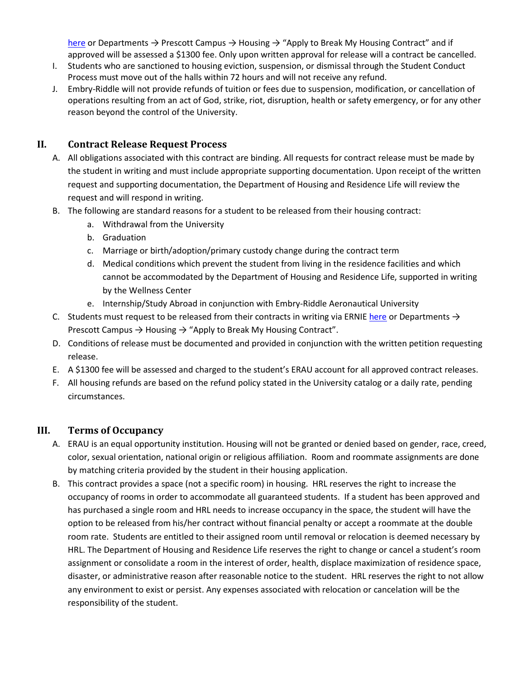[here](https://webforms.erau.edu/private/housing/contract-release/prescott/index.cfm) or Departments  $\rightarrow$  Prescott Campus  $\rightarrow$  Housing  $\rightarrow$  "Apply to Break My Housing Contract" and if approved will be assessed a \$1300 fee. Only upon written approval for release will a contract be cancelled.

- I. Students who are sanctioned to housing eviction, suspension, or dismissal through the Student Conduct Process must move out of the halls within 72 hours and will not receive any refund.
- J. Embry-Riddle will not provide refunds of tuition or fees due to suspension, modification, or cancellation of operations resulting from an act of God, strike, riot, disruption, health or safety emergency, or for any other reason beyond the control of the University.

### <span id="page-2-0"></span>**II. Contract Release Request Process**

- A. All obligations associated with this contract are binding. All requests for contract release must be made by the student in writing and must include appropriate supporting documentation. Upon receipt of the written request and supporting documentation, the Department of Housing and Residence Life will review the request and will respond in writing.
- B. The following are standard reasons for a student to be released from their housing contract:
	- a. Withdrawal from the University
	- b. Graduation
	- c. Marriage or birth/adoption/primary custody change during the contract term
	- d. Medical conditions which prevent the student from living in the residence facilities and which cannot be accommodated by the Department of Housing and Residence Life, supported in writing by the Wellness Center
	- e. Internship/Study Abroad in conjunction with Embry-Riddle Aeronautical University
- C. Students must request to be released from their contracts in writing via ERNI[E here](https://webforms.erau.edu/private/housing/contract-release/prescott/index.cfm) or Departments  $\rightarrow$ Prescott Campus  $\rightarrow$  Housing  $\rightarrow$  "Apply to Break My Housing Contract".
- D. Conditions of release must be documented and provided in conjunction with the written petition requesting release.
- E. A \$1300 fee will be assessed and charged to the student's ERAU account for all approved contract releases.
- F. All housing refunds are based on the refund policy stated in the University catalog or a daily rate, pending circumstances.

#### **III. Terms of Occupancy**

- A. ERAU is an equal opportunity institution. Housing will not be granted or denied based on gender, race, creed, color, sexual orientation, national origin or religious affiliation. Room and roommate assignments are done by matching criteria provided by the student in their housing application.
- B. This contract provides a space (not a specific room) in housing. HRL reserves the right to increase the occupancy of rooms in order to accommodate all guaranteed students. If a student has been approved and has purchased a single room and HRL needs to increase occupancy in the space, the student will have the option to be released from his/her contract without financial penalty or accept a roommate at the double room rate. Students are entitled to their assigned room until removal or relocation is deemed necessary by HRL. The Department of Housing and Residence Life reserves the right to change or cancel a student's room assignment or consolidate a room in the interest of order, health, displace maximization of residence space, disaster, or administrative reason after reasonable notice to the student. HRL reserves the right to not allow any environment to exist or persist. Any expenses associated with relocation or cancelation will be the responsibility of the student.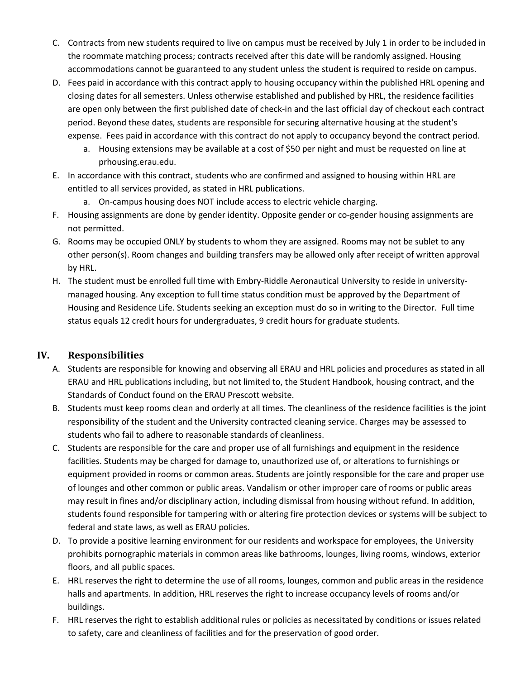- C. Contracts from new students required to live on campus must be received by July 1 in order to be included in the roommate matching process; contracts received after this date will be randomly assigned. Housing accommodations cannot be guaranteed to any student unless the student is required to reside on campus.
- D. Fees paid in accordance with this contract apply to housing occupancy within the published HRL opening and closing dates for all semesters. Unless otherwise established and published by HRL, the residence facilities are open only between the first published date of check-in and the last official day of checkout each contract period. Beyond these dates, students are responsible for securing alternative housing at the student's expense. Fees paid in accordance with this contract do not apply to occupancy beyond the contract period.
	- a. Housing extensions may be available at a cost of \$50 per night and must be requested on line at prhousing.erau.edu.
- E. In accordance with this contract, students who are confirmed and assigned to housing within HRL are entitled to all services provided, as stated in HRL publications.
	- a. On-campus housing does NOT include access to electric vehicle charging.
- F. Housing assignments are done by gender identity. Opposite gender or co-gender housing assignments are not permitted.
- G. Rooms may be occupied ONLY by students to whom they are assigned. Rooms may not be sublet to any other person(s). Room changes and building transfers may be allowed only after receipt of written approval by HRL.
- H. The student must be enrolled full time with Embry-Riddle Aeronautical University to reside in universitymanaged housing. Any exception to full time status condition must be approved by the Department of Housing and Residence Life. Students seeking an exception must do so in writing to the Director. Full time status equals 12 credit hours for undergraduates, 9 credit hours for graduate students.

#### **IV. Responsibilities**

- A. Students are responsible for knowing and observing all ERAU and HRL policies and procedures as stated in all ERAU and HRL publications including, but not limited to, the Student Handbook, housing contract, and the Standards of Conduct found on the ERAU Prescott website.
- B. Students must keep rooms clean and orderly at all times. The cleanliness of the residence facilities is the joint responsibility of the student and the University contracted cleaning service. Charges may be assessed to students who fail to adhere to reasonable standards of cleanliness.
- C. Students are responsible for the care and proper use of all furnishings and equipment in the residence facilities. Students may be charged for damage to, unauthorized use of, or alterations to furnishings or equipment provided in rooms or common areas. Students are jointly responsible for the care and proper use of lounges and other common or public areas. Vandalism or other improper care of rooms or public areas may result in fines and/or disciplinary action, including dismissal from housing without refund. In addition, students found responsible for tampering with or altering fire protection devices or systems will be subject to federal and state laws, as well as ERAU policies.
- D. To provide a positive learning environment for our residents and workspace for employees, the University prohibits pornographic materials in common areas like bathrooms, lounges, living rooms, windows, exterior floors, and all public spaces.
- E. HRL reserves the right to determine the use of all rooms, lounges, common and public areas in the residence halls and apartments. In addition, HRL reserves the right to increase occupancy levels of rooms and/or buildings.
- F. HRL reserves the right to establish additional rules or policies as necessitated by conditions or issues related to safety, care and cleanliness of facilities and for the preservation of good order.